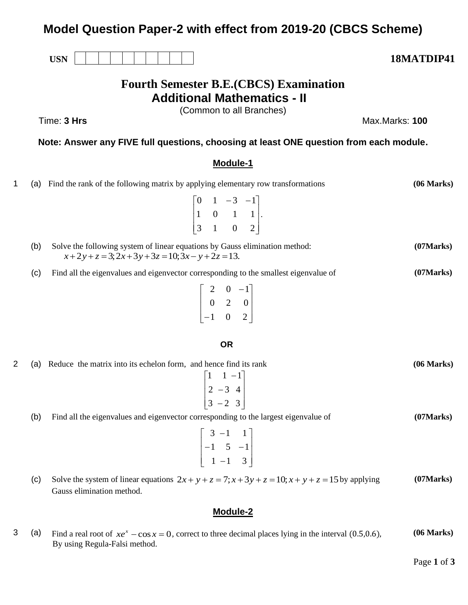# **Model Question Paper-2 with effect from 2019-20 (CBCS Scheme)**

**Fourth Semester B.E.(CBCS) Examination Additional Mathematics - II**

(Common to all Branches)

**Note: Answer any FIVE full questions, choosing at least ONE question from each module.**

## **Module-1**

- 1 (a) Find the rank of the following matrix by applying elementary row transformations  $\overline{\phantom{a}}$  $\overline{\phantom{a}}$  $\overline{\phantom{a}}$ J  $\overline{\phantom{a}}$  $\mathsf{L}$ L L  $\begin{bmatrix} 0 & 1 & -3 & - \end{bmatrix}$ 3 1 0 2 1 0 1 1  $0 \t1 \t-3 \t-1$ . **(06 Marks)** (b) Solve the following system of linear equations by Gauss elimination method:  $x+2y+z=3;2x+3y+3z=10;3x-y+2z=13.$ **(07Marks)** (c) Find all the eigenvalues and eigenvector corresponding to the smallest eigenvalue of  $\overline{\phantom{a}}$  $\overline{\phantom{a}}$  $\overline{\phantom{a}}$ 」  $\overline{\phantom{a}}$  $\mathsf{L}$  $\overline{\phantom{a}}$  $\overline{\phantom{a}}$ L  $\overline{\phantom{a}}$ − − 1 0 2 0 2 0 2 0  $-1$ **(07Marks) OR** 2 (a) Reduce the matrix into its echelon form, and hence find its rank  $\overline{\phantom{a}}$  $\overline{\phantom{a}}$  $\overline{\phantom{a}}$ J  $\overline{\phantom{a}}$  $\mathsf{L}$  $\mathsf{L}$  $\mathsf{L}$ L  $\mathsf{L}$ − − −  $3 - 2 3$  $2 - 3 4$  $1 - 1$ **(06 Marks)** (b) Find all the eigenvalues and eigenvector corresponding to the largest eigenvalue of  $\overline{\phantom{a}}$  $\overline{\phantom{a}}$  $\overline{\phantom{a}}$ J  $\overline{\phantom{a}}$  $\mathsf{L}$  $\mathsf{L}$  $\mathsf{L}$ L  $\mathsf{L}$ −  $-1$  5 – −  $1 - 1$  3  $1 \quad 5 \quad -1$  $3 - 1$  1 **(07Marks)**
	- (c) Solve the system of linear equations  $2x + y + z = 7$ ;  $x + 3y + z = 10$ ;  $x + y + z = 15$  by applying Gauss elimination method. **(07Marks)**

# **Module-2**

3 (a) Find a real root of  $xe^x - \cos x = 0$ , correct to three decimal places lying in the interval (0.5,0.6), By using Regula-Falsi method. **(06 Marks)**

Time: **3 Hrs** Max.Marks: **100**

**USN 18MATDIP41**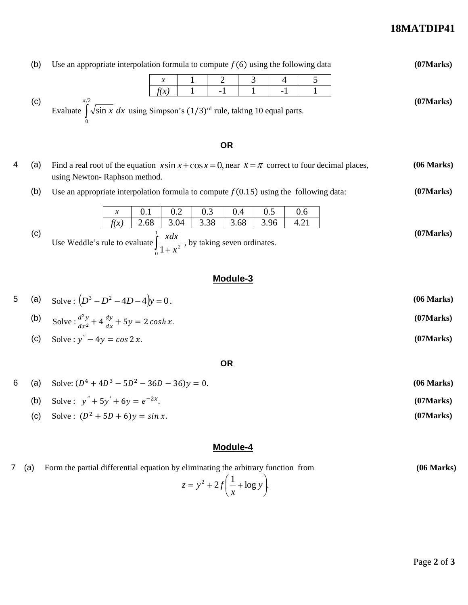# **18MATDIP41**

|   | (b) | Use an appropriate interpolation formula to compute $f(6)$ using the following data                                                       |                       |             |             |             |             |             |             |   |            | (07 Marks) |
|---|-----|-------------------------------------------------------------------------------------------------------------------------------------------|-----------------------|-------------|-------------|-------------|-------------|-------------|-------------|---|------------|------------|
|   | (c) | Evaluate $\int_{0}^{\pi/2} \sqrt{\sin x} dx$ using Simpson's $(1/3)^{rd}$ rule, taking 10 equal parts.                                    |                       |             | х<br>f(x)   | $-1$        |             | 3<br>$-1$   | 4           | 5 |            | (07 Marks) |
|   |     |                                                                                                                                           |                       |             |             |             | <b>OR</b>   |             |             |   |            |            |
| 4 | (a) | Find a real root of the equation $x \sin x + \cos x = 0$ , near $x = \pi$ correct to four decimal places,<br>using Newton-Raphson method. |                       |             |             |             |             |             |             |   | (06 Marks) |            |
|   | (b) | Use an appropriate interpolation formula to compute $f(0.15)$ using the following data:                                                   |                       |             |             |             |             |             |             |   |            | (07 Marks) |
|   |     |                                                                                                                                           | $\mathcal{X}$<br>f(x) | 0.1<br>2.68 | 0.2<br>3.04 | 0.3<br>3.38 | 0.4<br>3.68 | 0.5<br>3.96 | 0.6<br>4.21 |   |            |            |
|   | (c) | Use Weddle's rule to evaluate $\int_{0}^{1} \frac{xdx}{1+x^2}$ , by taking seven ordinates.                                               |                       |             |             |             |             |             |             |   |            | (07 Marks) |

## **Module-3**

5 (a) Solve: 
$$
(D^3 - D^2 - 4D - 4)y = 0
$$
. (06 Marks)  
\n(b) Solve:  $\frac{d^2y}{dx^2} + 4\frac{dy}{dx} + 5y = 2\cosh x$ . (07 Marks)

(b) Solve: 
$$
\frac{d^2y}{dx^2} + 4\frac{dy}{dx} + 5y = 2\cosh x.
$$

\n(c) Solve: 
$$
y'' - 4y = \cos 2x.
$$

\n(07 Marks)

**OR**

6 (a) Solve:  $(D^4 + 4D^3 - 5D^2 - 36D - 36)y = 0$ . (06 Marks) (b) Solve:  $y'' + 5y' + 6y = e^{-2x}$ . **(07Marks)** (c) Solve:  $(D^2 + 5D + 6)y = \sin x$ . (07Marks)

# **Module-4**

| 7 (a) | Form the partial differential equation by eliminating the arbitrary function from | (06 Marks) |  |
|-------|-----------------------------------------------------------------------------------|------------|--|
|       | $z = y^2 + 2f\left(\frac{1}{x} + \log y\right).$                                  |            |  |